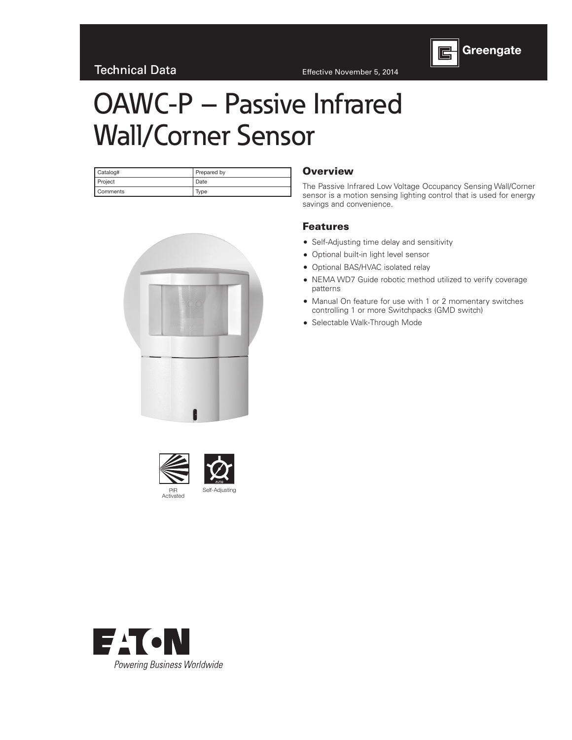

# OAWC-P – Passive Infrared Wall/Corner Sensor

| Catalog#        | Prepared by |  |  |  |  |  |  |
|-----------------|-------------|--|--|--|--|--|--|
| <b>Project</b>  | Date        |  |  |  |  |  |  |
| <b>Comments</b> | Type        |  |  |  |  |  |  |



#### **Overview**

The Passive Infrared Low Voltage Occupancy Sensing Wall/Corner sensor is a motion sensing lighting control that is used for energy savings and convenience.

#### Features

- Self-Adjusting time delay and sensitivity
- Optional built-in light level sensor
- Optional BAS/HVAC isolated relay
- NEMA WD7 Guide robotic method utilized to verify coverage patterns
- Manual On feature for use with 1 or 2 momentary switches controlling 1 or more Switchpacks (GMD switch)
- Selectable Walk-Through Mode





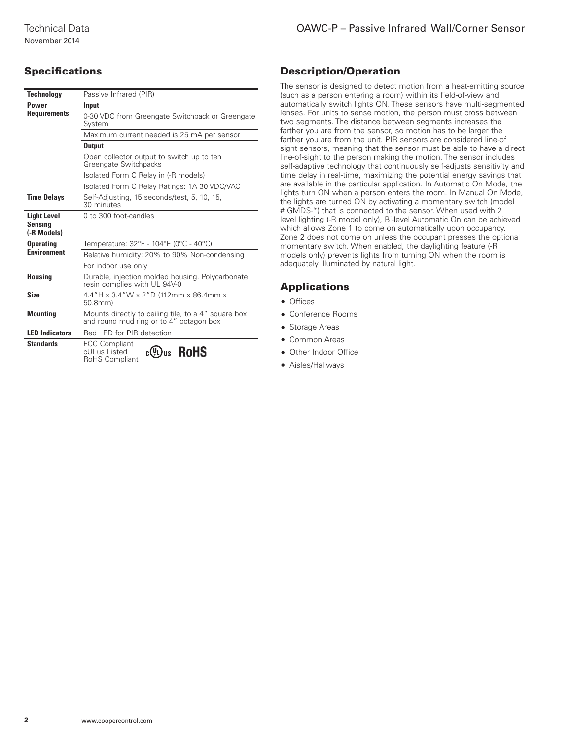## **Specifications**

| <b>Technology</b>                            | Passive Infrared (PIR)                                                                         |  |  |  |  |  |  |  |
|----------------------------------------------|------------------------------------------------------------------------------------------------|--|--|--|--|--|--|--|
| Power                                        | Input                                                                                          |  |  |  |  |  |  |  |
| <b>Requirements</b>                          | 0-30 VDC from Greengate Switchpack or Greengate<br>Svstem                                      |  |  |  |  |  |  |  |
|                                              | Maximum current needed is 25 mA per sensor                                                     |  |  |  |  |  |  |  |
|                                              | <b>Output</b>                                                                                  |  |  |  |  |  |  |  |
|                                              | Open collector output to switch up to ten<br>Greengate Switchpacks                             |  |  |  |  |  |  |  |
|                                              | Isolated Form C Relay in (-R models)                                                           |  |  |  |  |  |  |  |
|                                              | Isolated Form C Relay Ratings: 1A 30 VDC/VAC                                                   |  |  |  |  |  |  |  |
| <b>Time Delays</b>                           | Self-Adjusting, 15 seconds/test, 5, 10, 15,<br>30 minutes                                      |  |  |  |  |  |  |  |
| <b>Light Level</b><br>Sensina<br>(-R Models) | 0 to 300 foot-candles                                                                          |  |  |  |  |  |  |  |
| <b>Operating</b>                             | Temperature: 32°F - 104°F (0°C - 40°C)                                                         |  |  |  |  |  |  |  |
| <b>Environment</b>                           | Relative humidity: 20% to 90% Non-condensing                                                   |  |  |  |  |  |  |  |
|                                              | For indoor use only                                                                            |  |  |  |  |  |  |  |
| <b>Housing</b>                               | Durable, injection molded housing. Polycarbonate<br>resin complies with UL 94V-0               |  |  |  |  |  |  |  |
| <b>Size</b>                                  | 4.4"H x 3.4"W x 2"D (112mm x 86.4mm x<br>50.8mm                                                |  |  |  |  |  |  |  |
| <b>Mounting</b>                              | Mounts directly to ceiling tile, to a 4" square box<br>and round mud ring or to 4" octagon box |  |  |  |  |  |  |  |
| <b>LED Indicators</b>                        | Red LED for PIR detection                                                                      |  |  |  |  |  |  |  |
| <b>Standards</b>                             | <b>FCC Compliant</b><br><b>RoHS</b><br>c(YL)us<br>cULus Listed<br><b>RoHS Compliant</b>        |  |  |  |  |  |  |  |

### Description/Operation

The sensor is designed to detect motion from a heat-emitting source (such as a person entering a room) within its field-of-view and automatically switch lights ON. These sensors have multi-segmented lenses. For units to sense motion, the person must cross between two segments. The distance between segments increases the farther you are from the sensor, so motion has to be larger the farther you are from the unit. PIR sensors are considered line-of sight sensors, meaning that the sensor must be able to have a direct line-of-sight to the person making the motion. The sensor includes self-adaptive technology that continuously self-adjusts sensitivity and time delay in real-time, maximizing the potential energy savings that are available in the particular application. In Automatic On Mode, the lights turn ON when a person enters the room. In Manual On Mode, the lights are turned ON by activating a momentary switch (model # GMDS-\*) that is connected to the sensor. When used with 2 level lighting (-R model only), Bi-level Automatic On can be achieved which allows Zone 1 to come on automatically upon occupancy. Zone 2 does not come on unless the occupant presses the optional momentary switch. When enabled, the daylighting feature (-R models only) prevents lights from turning ON when the room is adequately illuminated by natural light.

#### **Applications**

- Offices
- Conference Rooms
- Storage Areas
- Common Areas
- Other Indoor Office
- Aisles/Hallways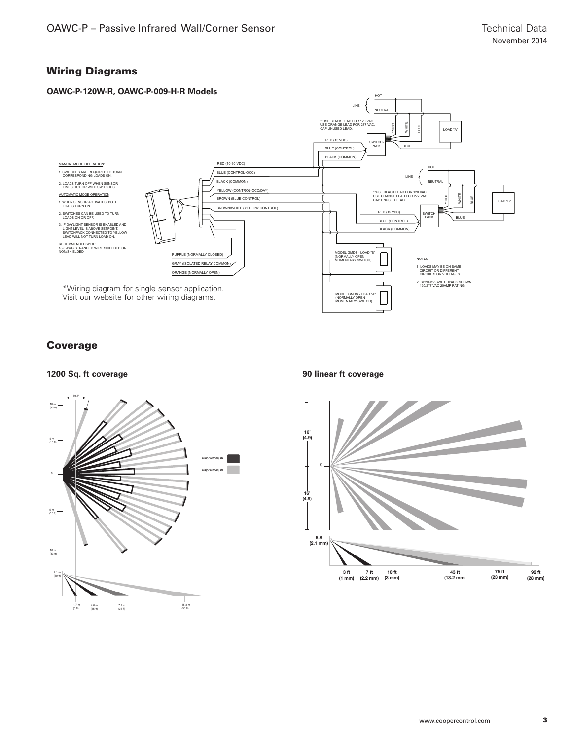### Wiring Diagrams



### Coverage



**1200 Sq. ft coverage 90 linear ft coverage**